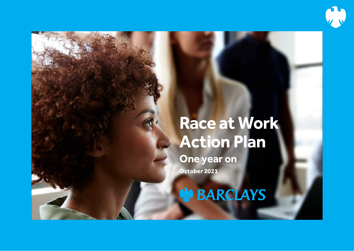

# **W. BARCLAYS**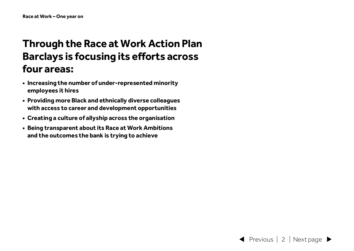## **Through the Race at Work Action Plan Barclays is focusing its efforts across four areas:**

- **• Increasing the number of under-represented minority employees it hires**
- **• Providing more Black and ethnically diverse colleagues with access to career and development opportunities**
- **• Creating a culture of allyship across the organisation**
- **• Being transparent about its Race at Work Ambitions and the outcomes the bank is trying to achieve**

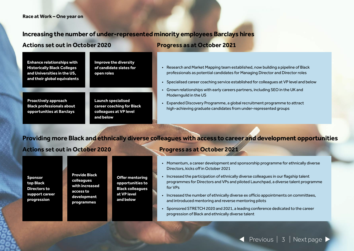### **Increasing the number of under-represented minority employees Barclays hires**

### **Actions set out in October 2020 Progress as at October 2021**

| <b>Enhance relationships with</b><br><b>Historically Black Colleges</b><br>and Universities in the US,<br>and their global equivalents | <b>Improve the diversity</b><br>of candidate slates for<br>open roles |
|----------------------------------------------------------------------------------------------------------------------------------------|-----------------------------------------------------------------------|
|                                                                                                                                        |                                                                       |
| <b>Proactively approach</b>                                                                                                            | <b>Launch specialised</b>                                             |

**Black professionals about opportunities at Barclays**

**Launch specialised career coaching for Black colleagues at VP level and below**

- Research and Market Mapping team established, now building a pipeline of Black professionals as potential candidates for Managing Director and Director roles
- Specialised career coaching service established for colleagues at VP level and below
- Grown relationships with early careers partners, including SEO in the UK and Modernguild in the US
- Expanded Discovery Programme, a global recruitment programme to attract high-achieving graduate candidates from under-represented groups

### **Providing more Black and ethnically diverse colleagues with access to career and development opportunities**

### **Actions set out in October 2020 Progress as at October 2021**

**Sponsor top Black Directors to support career progression**

**Provide Black colleagues with increased access to development programmes**

**Offer mentoring opportunities to Black colleagues at VP level and below**

- Momentum, a career development and sponsorship programme for ethnically diverse Directors, kicks off in October 2021
- Increased the participation of ethnically diverse colleagues in our flagship talent programmes for Directors and VPs and piloted Launchpad, a diverse talent programme for VPs
- Increased the number of ethnically diverse ex officio appointments on committees, and introduced mentoring and reverse mentoring pilots
- Sponsored STRETCH 2020 and 2021, a leading conference dedicated to the career progression of Black and ethnically diverse talent

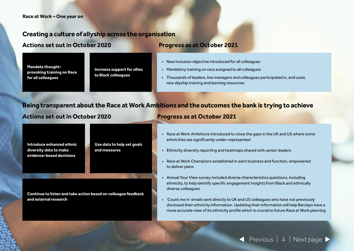### **Creating a culture of allyship across the organisation**

**Actions set out in October 2020 Progress as at October 2021** 

**Mandate thoughtprovoking training on Race for all colleagues**

**Increase support for allies to Black colleagues**

- New inclusion objective introduced for all colleagues
- Mandatory training on race assigned to all colleagues
- Thousands of leaders, line managers and colleagues participated in, and used, new allyship training and learning resources

### **Being transparent about the Race at Work Ambitions and the outcomes the bank is trying to achieve**

### **Actions set out in October 2020 Progress as at October 2021**

**Introduce enhanced ethnic diversity data to make evidence-based decisions**

**Use data to help set goals and measures**

**Continue to listen and take action based on colleague feedback and external research**

- Race at Work Ambitions introduced to close the gaps in the UK and US where some ethnicities are significantly under‑represented
- Ethnicity diversity reporting and heatmaps shared with senior leaders
- Race at Work Champions established in each business and function, empowered to deliver plans
- Annual Your View survey included diverse characteristics questions, including ethnicity, to help identify specific engagement insights from Black and ethnically diverse colleagues
- 'Count me in' emails sent directly to UK and US colleagues who have not previously disclosed their ethnicity information. Updating their information will help Barclays have a more accurate view of its ethnicity profile which is crucial to future Race at Work planning

Previous | 4 | Next page >